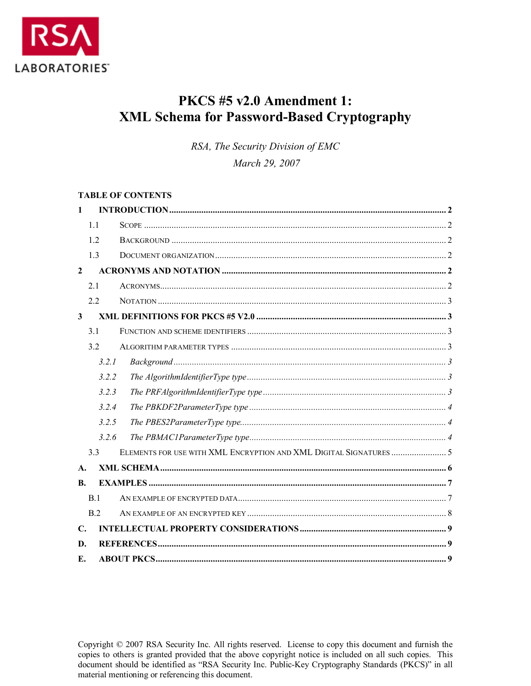

# PKCS #5 v2.0 Amendment 1: **XML Schema for Password-Based Cryptography**

RSA, The Security Division of EMC

March 29, 2007

#### **TABLE OF CONTENTS**

| $\mathbf{1}$ |                |  |
|--------------|----------------|--|
|              | 1.1            |  |
|              | 12             |  |
|              | 1.3            |  |
| $\mathbf{2}$ |                |  |
|              | 2.1            |  |
|              | 22             |  |
| $\mathbf{3}$ |                |  |
|              | 3.1            |  |
|              | 3.2            |  |
|              | 3.2.1          |  |
|              | 3.2.2          |  |
|              | 3.2.3          |  |
|              | 3.2.4          |  |
|              | 3.2.5          |  |
|              | 3.2.6          |  |
|              | 3.3            |  |
| A.           |                |  |
| B.           |                |  |
|              | B.1            |  |
|              | B <sub>2</sub> |  |
| $\mathbf{C}$ |                |  |
| D.           |                |  |
| Е.           |                |  |

Copyright © 2007 RSA Security Inc. All rights reserved. License to copy this document and furnish the copies to others is granted provided that the above copyright notice is included on all such copies. This document should be identified as "RSA Security Inc. Public-Key Cryptography Standards (PKCS)" in all material mentioning or referencing this document.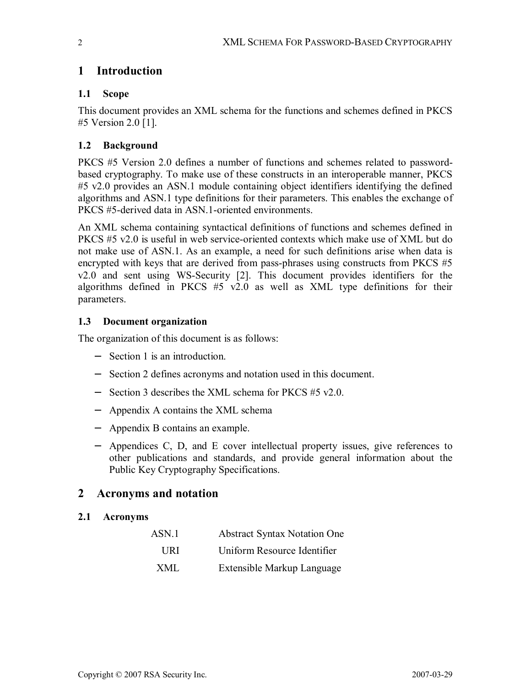## **1 Introduction**

### **1.1 Scope**

This document provides an XML schema for the functions and schemes defined in PKCS #5 Version 2.0 [1].

## **1.2 Background**

PKCS #5 Version 2.0 defines a number of functions and schemes related to passwordbased cryptography. To make use of these constructs in an interoperable manner, PKCS #5 v2.0 provides an ASN.1 module containing object identifiers identifying the defined algorithms and ASN.1 type definitions for their parameters. This enables the exchange of PKCS #5-derived data in ASN.1-oriented environments.

An XML schema containing syntactical definitions of functions and schemes defined in PKCS #5 v2.0 is useful in web service-oriented contexts which make use of XML but do not make use of ASN.1. As an example, a need for such definitions arise when data is encrypted with keys that are derived from pass-phrases using constructs from PKCS #5 v2.0 and sent using WS-Security [2]. This document provides identifiers for the algorithms defined in PKCS #5 v2.0 as well as XML type definitions for their parameters.

### **1.3 Document organization**

The organization of this document is as follows:

- − Section 1 is an introduction.
- − Section 2 defines acronyms and notation used in this document.
- − Section 3 describes the XML schema for PKCS #5 v2.0.
- − Appendix A contains the XML schema
- − Appendix B contains an example.
- − Appendices C, D, and E cover intellectual property issues, give references to other publications and standards, and provide general information about the Public Key Cryptography Specifications.

## **2 Acronyms and notation**

### **2.1 Acronyms**

| ASN <sub>1</sub> | <b>Abstract Syntax Notation One</b> |
|------------------|-------------------------------------|
| HR I             | Uniform Resource Identifier         |
| XMI.             | Extensible Markup Language          |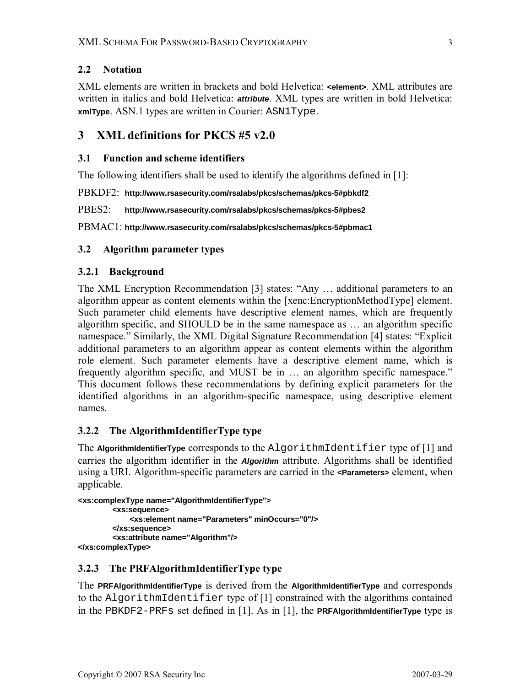### **2.2 Notation**

XML elements are written in brackets and bold Helvetica: **<element>**. XML attributes are written in italics and bold Helvetica: **attribute**. XML types are written in bold Helvetica: **xmlType**. ASN.1 types are written in Courier: ASN1Type.

## **3 XML definitions for PKCS #5 v2.0**

#### **3.1 Function and scheme identifiers**

The following identifiers shall be used to identify the algorithms defined in [1]:

PBKDF2: **http://www.rsasecurity.com/rsalabs/pkcs/schemas/pkcs-5#pbkdf2** 

PBES2: **http://www.rsasecurity.com/rsalabs/pkcs/schemas/pkcs-5#pbes2** 

PBMAC1: **http://www.rsasecurity.com/rsalabs/pkcs/schemas/pkcs-5#pbmac1** 

#### **3.2 Algorithm parameter types**

#### **3.2.1 Background**

The XML Encryption Recommendation [3] states: "Any … additional parameters to an algorithm appear as content elements within the [xenc:EncryptionMethodType] element. Such parameter child elements have descriptive element names, which are frequently algorithm specific, and SHOULD be in the same namespace as … an algorithm specific namespace." Similarly, the XML Digital Signature Recommendation [4] states: "Explicit additional parameters to an algorithm appear as content elements within the algorithm role element. Such parameter elements have a descriptive element name, which is frequently algorithm specific, and MUST be in … an algorithm specific namespace." This document follows these recommendations by defining explicit parameters for the identified algorithms in an algorithm-specific namespace, using descriptive element names.

### **3.2.2 The AlgorithmIdentifierType type**

The **AlgorithmIdentifierType** corresponds to the AlgorithmIdentifier type of [1] and carries the algorithm identifier in the **Algorithm** attribute. Algorithms shall be identified using a URI. Algorithm-specific parameters are carried in the **<Parameters>** element, when applicable.

```
<xs:complexType name="AlgorithmIdentifierType"> 
         <xs:sequence> 
              <xs:element name="Parameters" minOccurs="0"/> 
         </xs:sequence> 
         <xs:attribute name="Algorithm"/> 
</xs:complexType>
```
### **3.2.3 The PRFAlgorithmIdentifierType type**

The **PRFAlgorithmIdentifierType** is derived from the **AlgorithmIdentifierType** and corresponds to the AlgorithmIdentifier type of [1] constrained with the algorithms contained in the PBKDF2-PRFs set defined in [1]. As in [1], the **PRFAlgorithmIdentifierType** type is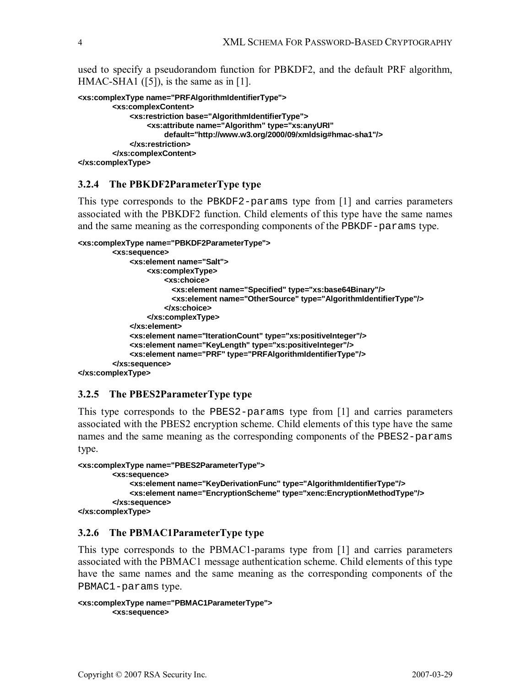used to specify a pseudorandom function for PBKDF2, and the default PRF algorithm, HMAC-SHA1 ([5]), is the same as in [1].

```
<xs:complexType name="PRFAlgorithmIdentifierType"> 
          <xs:complexContent> 
              <xs:restriction base="AlgorithmIdentifierType"> 
                   <xs:attribute name="Algorithm" type="xs:anyURI" 
                        default="http://www.w3.org/2000/09/xmldsig#hmac-sha1"/> 
              </xs:restriction> 
          </xs:complexContent> 
</xs:complexType>
```
#### **3.2.4 The PBKDF2ParameterType type**

This type corresponds to the PBKDF2-params type from [1] and carries parameters associated with the PBKDF2 function. Child elements of this type have the same names and the same meaning as the corresponding components of the PBKDF-params type.

```
<xs:complexType name="PBKDF2ParameterType"> 
          <xs:sequence> 
              <xs:element name="Salt"> 
                   <xs:complexType> 
                       <xs:choice> 
                         <xs:element name="Specified" type="xs:base64Binary"/> 
                         <xs:element name="OtherSource" type="AlgorithmIdentifierType"/> 
                       </xs:choice> 
                   </xs:complexType> 
              </xs:element> 
              <xs:element name="IterationCount" type="xs:positiveInteger"/> 
             <xs:element name="KeyLength" type="xs:positiveInteger"/> 
             <xs:element name="PRF" type="PRFAlgorithmIdentifierType"/> 
          </xs:sequence> 
</xs:complexType>
```
#### **3.2.5 The PBES2ParameterType type**

This type corresponds to the PBES2-params type from [1] and carries parameters associated with the PBES2 encryption scheme. Child elements of this type have the same names and the same meaning as the corresponding components of the PBES2-params type.

```
<xs:complexType name="PBES2ParameterType"> 
         <xs:sequence> 
             <xs:element name="KeyDerivationFunc" type="AlgorithmIdentifierType"/> 
             <xs:element name="EncryptionScheme" type="xenc:EncryptionMethodType"/> 
         </xs:sequence> 
</xs:complexType>
```
#### **3.2.6 The PBMAC1ParameterType type**

This type corresponds to the PBMAC1-params type from [1] and carries parameters associated with the PBMAC1 message authentication scheme. Child elements of this type have the same names and the same meaning as the corresponding components of the PBMAC1-params type.

```
<xs:complexType name="PBMAC1ParameterType"> 
         <xs:sequence>
```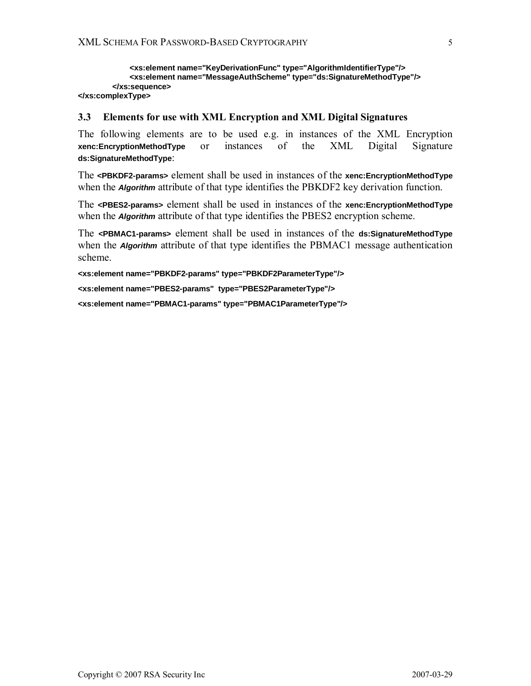```
 <xs:element name="KeyDerivationFunc" type="AlgorithmIdentifierType"/> 
              <xs:element name="MessageAuthScheme" type="ds:SignatureMethodType"/> 
         </xs:sequence> 
</xs:complexType>
```
#### **3.3 Elements for use with XML Encryption and XML Digital Signatures**

The following elements are to be used e.g. in instances of the XML Encryption **xenc:EncryptionMethodType** or instances of the XML Digital Signature **ds:SignatureMethodType**:

The **<PBKDF2-params>** element shall be used in instances of the **xenc:EncryptionMethodType** when the **Algorithm** attribute of that type identifies the PBKDF2 key derivation function.

The **<PBES2-params>** element shall be used in instances of the **xenc:EncryptionMethodType** when the **Algorithm** attribute of that type identifies the PBES2 encryption scheme.

The **<PBMAC1-params>** element shall be used in instances of the **ds:SignatureMethodType** when the **Algorithm** attribute of that type identifies the PBMAC1 message authentication scheme.

**<xs:element name="PBKDF2-params" type="PBKDF2ParameterType"/> <xs:element name="PBES2-params" type="PBES2ParameterType"/> <xs:element name="PBMAC1-params" type="PBMAC1ParameterType"/>**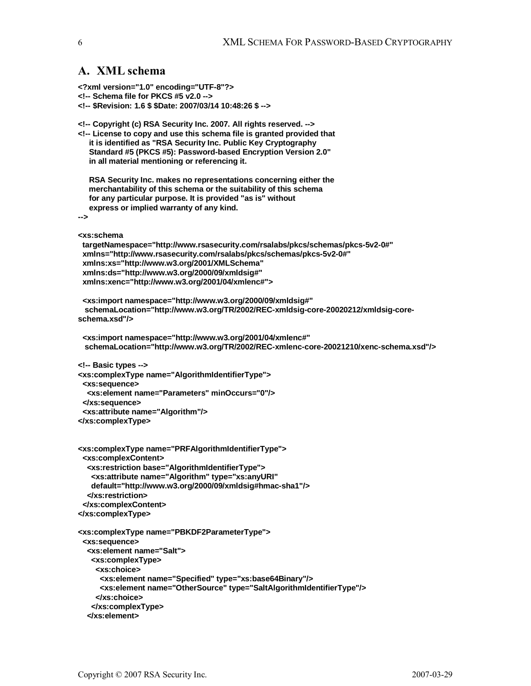## **A. XML schema**

**<?xml version="1.0" encoding="UTF-8"?>** 

- **<!-- Schema file for PKCS #5 v2.0 -->**
- **<!-- \$Revision: 1.6 \$ \$Date: 2007/03/14 10:48:26 \$ -->**

```
<!-- Copyright (c) RSA Security Inc. 2007. All rights reserved. --> 
<!-- License to copy and use this schema file is granted provided that 
   it is identified as "RSA Security Inc. Public Key Cryptography 
   Standard #5 (PKCS #5): Password-based Encryption Version 2.0" 
   in all material mentioning or referencing it. 
   RSA Security Inc. makes no representations concerning either the 
   merchantability of this schema or the suitability of this schema 
   for any particular purpose. It is provided "as is" without 
   express or implied warranty of any kind. 
--> 
<xs:schema 
  targetNamespace="http://www.rsasecurity.com/rsalabs/pkcs/schemas/pkcs-5v2-0#" 
  xmlns="http://www.rsasecurity.com/rsalabs/pkcs/schemas/pkcs-5v2-0#" 
  xmlns:xs="http://www.w3.org/2001/XMLSchema" 
  xmlns:ds="http://www.w3.org/2000/09/xmldsig#" 
  xmlns:xenc="http://www.w3.org/2001/04/xmlenc#"> 
  <xs:import namespace="http://www.w3.org/2000/09/xmldsig#" 
  schemaLocation="http://www.w3.org/TR/2002/REC-xmldsig-core-20020212/xmldsig-core-
schema.xsd"/> 
  <xs:import namespace="http://www.w3.org/2001/04/xmlenc#" 
  schemaLocation="http://www.w3.org/TR/2002/REC-xmlenc-core-20021210/xenc-schema.xsd"/> 
<!-- Basic types --> 
<xs:complexType name="AlgorithmIdentifierType"> 
  <xs:sequence> 
   <xs:element name="Parameters" minOccurs="0"/> 
  </xs:sequence> 
  <xs:attribute name="Algorithm"/> 
</xs:complexType> 
<xs:complexType name="PRFAlgorithmIdentifierType"> 
  <xs:complexContent> 
   <xs:restriction base="AlgorithmIdentifierType"> 
    <xs:attribute name="Algorithm" type="xs:anyURI" 
    default="http://www.w3.org/2000/09/xmldsig#hmac-sha1"/> 
   </xs:restriction> 
  </xs:complexContent> 
</xs:complexType> 
<xs:complexType name="PBKDF2ParameterType"> 
  <xs:sequence> 
   <xs:element name="Salt"> 
    <xs:complexType> 
     <xs:choice> 
      <xs:element name="Specified" type="xs:base64Binary"/> 
      <xs:element name="OtherSource" type="SaltAlgorithmIdentifierType"/> 
     </xs:choice> 
    </xs:complexType>
```

```
 </xs:element>
```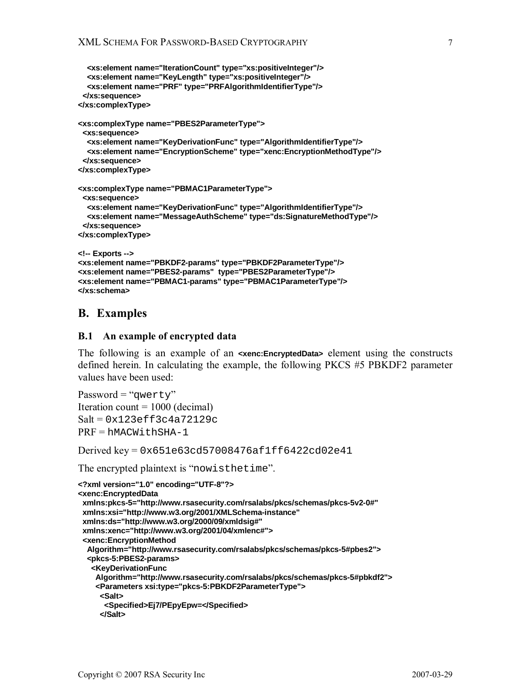```
 <xs:element name="IterationCount" type="xs:positiveInteger"/> 
   <xs:element name="KeyLength" type="xs:positiveInteger"/> 
   <xs:element name="PRF" type="PRFAlgorithmIdentifierType"/> 
  </xs:sequence> 
</xs:complexType> 
<xs:complexType name="PBES2ParameterType"> 
  <xs:sequence> 
   <xs:element name="KeyDerivationFunc" type="AlgorithmIdentifierType"/> 
   <xs:element name="EncryptionScheme" type="xenc:EncryptionMethodType"/> 
  </xs:sequence> 
</xs:complexType> 
<xs:complexType name="PBMAC1ParameterType"> 
  <xs:sequence> 
   <xs:element name="KeyDerivationFunc" type="AlgorithmIdentifierType"/> 
   <xs:element name="MessageAuthScheme" type="ds:SignatureMethodType"/> 
  </xs:sequence> 
</xs:complexType> 
<!-- Exports --> 
<xs:element name="PBKDF2-params" type="PBKDF2ParameterType"/> 
<xs:element name="PBES2-params" type="PBES2ParameterType"/> 
<xs:element name="PBMAC1-params" type="PBMAC1ParameterType"/> 
</xs:schema>
```
## **B. Examples**

#### **B.1 An example of encrypted data**

The following is an example of an **<xenc:EncryptedData>** element using the constructs defined herein. In calculating the example, the following PKCS #5 PBKDF2 parameter values have been used:

```
Password = "qwerty" 
Iteration count = 1000 (decimal)
Salt = 0x123eff3c4a72129c 
PRF = hMACWithSHA-1
```
Derived key = 0x651e63cd57008476af1ff6422cd02e41

The encrypted plaintext is "nowisthetime".

```
<?xml version="1.0" encoding="UTF-8"?> 
<xenc:EncryptedData 
  xmlns:pkcs-5="http://www.rsasecurity.com/rsalabs/pkcs/schemas/pkcs-5v2-0#" 
  xmlns:xsi="http://www.w3.org/2001/XMLSchema-instance" 
  xmlns:ds="http://www.w3.org/2000/09/xmldsig#" 
  xmlns:xenc="http://www.w3.org/2001/04/xmlenc#"> 
  <xenc:EncryptionMethod 
   Algorithm="http://www.rsasecurity.com/rsalabs/pkcs/schemas/pkcs-5#pbes2"> 
   <pkcs-5:PBES2-params> 
    <KeyDerivationFunc 
     Algorithm="http://www.rsasecurity.com/rsalabs/pkcs/schemas/pkcs-5#pbkdf2"> 
     <Parameters xsi:type="pkcs-5:PBKDF2ParameterType"> 
      <Salt> 
       <Specified>Ej7/PEpyEpw=</Specified> 
      </Salt>
```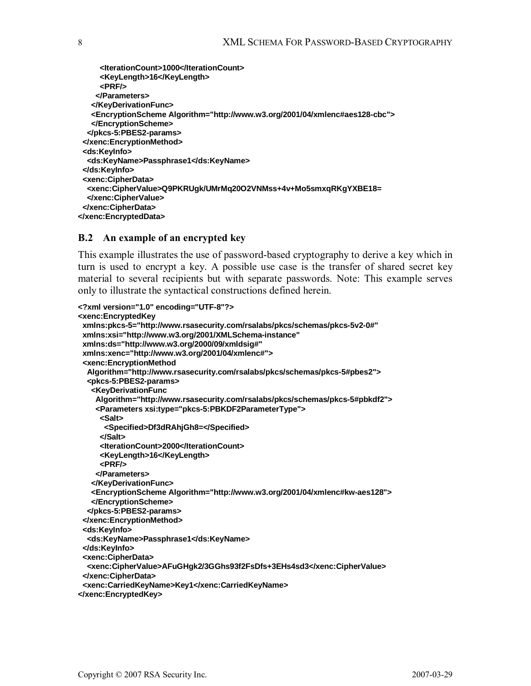| <lterationcount>1000</lterationcount>                                                         |
|-----------------------------------------------------------------------------------------------|
| <keylength>16</keylength>                                                                     |
| <prf></prf>                                                                                   |
|                                                                                               |
|                                                                                               |
| <encryptionscheme algorithm="http://www.w3.org/2001/04/xmlenc#aes128-cbc"></encryptionscheme> |
|                                                                                               |
|                                                                                               |
|                                                                                               |
| <ds:keyinfo></ds:keyinfo>                                                                     |
| <ds:keyname>Passphrase1</ds:keyname>                                                          |
| ⊲ds:KeyInfo>                                                                                  |
| <xenc:cipherdata></xenc:cipherdata>                                                           |
| <xenc:ciphervalue>Q9PKRUgk/UMrMq20O2VNMss+4v+Mo5smxqRKgYXBE18=</xenc:ciphervalue>             |
|                                                                                               |
|                                                                                               |
|                                                                                               |

#### **B.2 An example of an encrypted key**

This example illustrates the use of password-based cryptography to derive a key which in turn is used to encrypt a key. A possible use case is the transfer of shared secret key material to several recipients but with separate passwords. Note: This example serves only to illustrate the syntactical constructions defined herein.

```
<?xml version="1.0" encoding="UTF-8"?> 
<xenc:EncryptedKey 
  xmlns:pkcs-5="http://www.rsasecurity.com/rsalabs/pkcs/schemas/pkcs-5v2-0#" 
  xmlns:xsi="http://www.w3.org/2001/XMLSchema-instance" 
  xmlns:ds="http://www.w3.org/2000/09/xmldsig#" 
  xmlns:xenc="http://www.w3.org/2001/04/xmlenc#"> 
  <xenc:EncryptionMethod 
   Algorithm="http://www.rsasecurity.com/rsalabs/pkcs/schemas/pkcs-5#pbes2"> 
   <pkcs-5:PBES2-params> 
    <KeyDerivationFunc 
     Algorithm="http://www.rsasecurity.com/rsalabs/pkcs/schemas/pkcs-5#pbkdf2"> 
     <Parameters xsi:type="pkcs-5:PBKDF2ParameterType"> 
      <Salt> 
       <Specified>Df3dRAhjGh8=</Specified> 
      </Salt> 
      <IterationCount>2000</IterationCount> 
      <KeyLength>16</KeyLength> 
      <PRF/> 
     </Parameters> 
    </KeyDerivationFunc> 
    <EncryptionScheme Algorithm="http://www.w3.org/2001/04/xmlenc#kw-aes128"> 
    </EncryptionScheme> 
   </pkcs-5:PBES2-params> 
  </xenc:EncryptionMethod> 
  <ds:KeyInfo> 
   <ds:KeyName>Passphrase1</ds:KeyName> 
  </ds:KeyInfo> 
  <xenc:CipherData> 
   <xenc:CipherValue>AFuGHgk2/3GGhs93f2FsDfs+3EHs4sd3</xenc:CipherValue> 
  </xenc:CipherData> 
  <xenc:CarriedKeyName>Key1</xenc:CarriedKeyName> 
</xenc:EncryptedKey>
```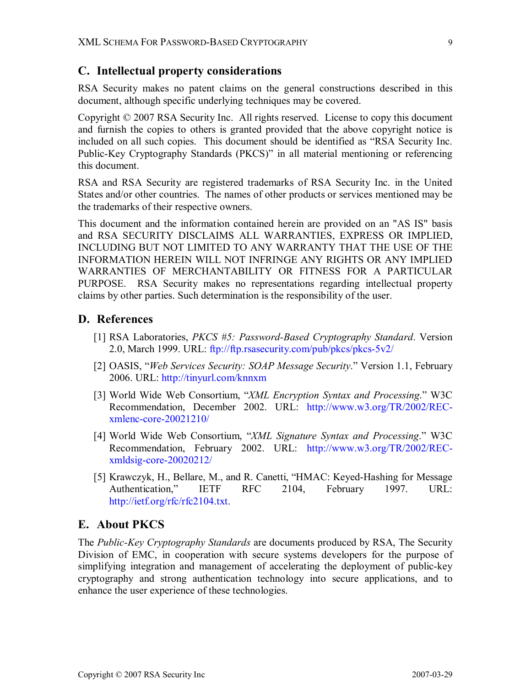## **C. Intellectual property considerations**

RSA Security makes no patent claims on the general constructions described in this document, although specific underlying techniques may be covered.

Copyright © 2007 RSA Security Inc. All rights reserved. License to copy this document and furnish the copies to others is granted provided that the above copyright notice is included on all such copies. This document should be identified as "RSA Security Inc. Public-Key Cryptography Standards (PKCS)" in all material mentioning or referencing this document.

RSA and RSA Security are registered trademarks of RSA Security Inc. in the United States and/or other countries. The names of other products or services mentioned may be the trademarks of their respective owners.

This document and the information contained herein are provided on an "AS IS" basis and RSA SECURITY DISCLAIMS ALL WARRANTIES, EXPRESS OR IMPLIED, INCLUDING BUT NOT LIMITED TO ANY WARRANTY THAT THE USE OF THE INFORMATION HEREIN WILL NOT INFRINGE ANY RIGHTS OR ANY IMPLIED WARRANTIES OF MERCHANTABILITY OR FITNESS FOR A PARTICULAR PURPOSE. RSA Security makes no representations regarding intellectual property claims by other parties. Such determination is the responsibility of the user.

## **D. References**

- [1] RSA Laboratories, *PKCS #5: Password-Based Cryptography Standard*. Version 2.0, March 1999. URL: ftp://ftp.rsasecurity.com/pub/pkcs/pkcs-5v2/
- [2] OASIS, "*Web Services Security: SOAP Message Security*." Version 1.1, February 2006. URL: http://tinyurl.com/knnxm
- [3] World Wide Web Consortium, "*XML Encryption Syntax and Processing*." W3C Recommendation, December 2002. URL: http://www.w3.org/TR/2002/RECxmlenc-core-20021210/
- [4] World Wide Web Consortium, "*XML Signature Syntax and Processing*." W3C Recommendation, February 2002. URL: http://www.w3.org/TR/2002/RECxmldsig-core-20020212/
- [5] Krawczyk, H., Bellare, M., and R. Canetti, "HMAC: Keyed-Hashing for Message Authentication," IETF RFC 2104, February 1997. URL: http://ietf.org/rfc/rfc2104.txt.

### **E. About PKCS**

The *Public-Key Cryptography Standards* are documents produced by RSA, The Security Division of EMC, in cooperation with secure systems developers for the purpose of simplifying integration and management of accelerating the deployment of public-key cryptography and strong authentication technology into secure applications, and to enhance the user experience of these technologies.